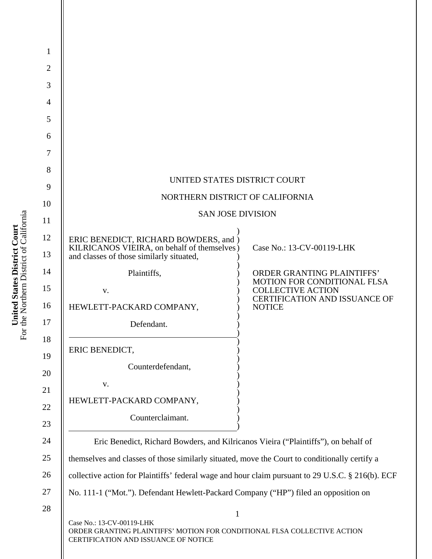| 1              |                                                                                                                                               |                                                                                                        |  |
|----------------|-----------------------------------------------------------------------------------------------------------------------------------------------|--------------------------------------------------------------------------------------------------------|--|
| $\overline{c}$ |                                                                                                                                               |                                                                                                        |  |
| 3              |                                                                                                                                               |                                                                                                        |  |
| 4              |                                                                                                                                               |                                                                                                        |  |
| 5              |                                                                                                                                               |                                                                                                        |  |
| 6              |                                                                                                                                               |                                                                                                        |  |
| 7              |                                                                                                                                               |                                                                                                        |  |
| 8              |                                                                                                                                               |                                                                                                        |  |
| 9              | UNITED STATES DISTRICT COURT                                                                                                                  |                                                                                                        |  |
| 10             | NORTHERN DISTRICT OF CALIFORNIA<br><b>SAN JOSE DIVISION</b>                                                                                   |                                                                                                        |  |
| 11             |                                                                                                                                               |                                                                                                        |  |
| 12<br>13       | ERIC BENEDICT, RICHARD BOWDERS, and )<br>KILRICANOS VIEIRA, on behalf of themselves)<br>and classes of those similarly situated,              | Case No.: 13-CV-00119-LHK                                                                              |  |
| 14             | Plaintiffs,                                                                                                                                   | ORDER GRANTING PLAINTIFFS'                                                                             |  |
| 15             | V.                                                                                                                                            | <b>MOTION FOR CONDITIONAL FLSA</b><br><b>COLLECTIVE ACTION</b><br><b>CERTIFICATION AND ISSUANCE OF</b> |  |
| 16             | HEWLETT-PACKARD COMPANY,                                                                                                                      | <b>NOTICE</b>                                                                                          |  |
| 17             | Defendant.                                                                                                                                    |                                                                                                        |  |
| 18             | ERIC BENEDICT,                                                                                                                                |                                                                                                        |  |
| 19             | Counterdefendant,                                                                                                                             |                                                                                                        |  |
| 20             | V.                                                                                                                                            |                                                                                                        |  |
| 21             | HEWLETT-PACKARD COMPANY,                                                                                                                      |                                                                                                        |  |
| 22<br>23       | Counterclaimant.                                                                                                                              |                                                                                                        |  |
| 24             | Eric Benedict, Richard Bowders, and Kilricanos Vieira ("Plaintiffs"), on behalf of                                                            |                                                                                                        |  |
| 25             | themselves and classes of those similarly situated, move the Court to conditionally certify a                                                 |                                                                                                        |  |
| 26             | collective action for Plaintiffs' federal wage and hour claim pursuant to 29 U.S.C. § 216(b). ECF                                             |                                                                                                        |  |
| 27             | No. 111-1 ("Mot."). Defendant Hewlett-Packard Company ("HP") filed an opposition on                                                           |                                                                                                        |  |
| 28             | $\mathbf{1}$                                                                                                                                  |                                                                                                        |  |
|                | Case No.: 13-CV-00119-LHK<br>ORDER GRANTING PLAINTIFFS' MOTION FOR CONDITIONAL FLSA COLLECTIVE ACTION<br>CERTIFICATION AND ISSUANCE OF NOTICE |                                                                                                        |  |

**United States District Court**<br>For the Northern District of California For the Northern District of California **United States District Court**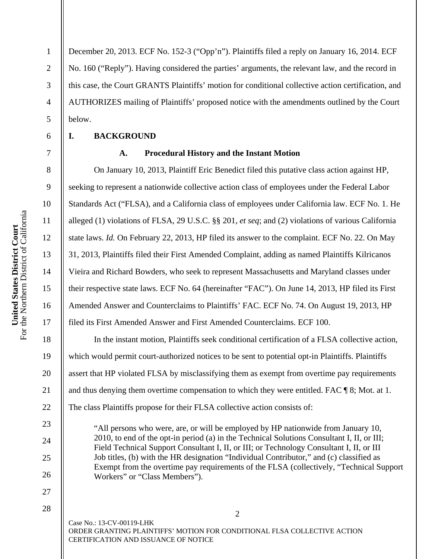For the Northern District of California United States District Court<br>For the Northern District of California **United States District Court** 

1

2

3

4

5

6

7

8

9

10

11

12

13

14

15

16

17

18

19

20

21

22

23

24

25

26

27

28

December 20, 2013. ECF No. 152-3 ("Opp'n"). Plaintiffs filed a reply on January 16, 2014. ECF No. 160 ("Reply"). Having considered the parties' arguments, the relevant law, and the record in this case, the Court GRANTS Plaintiffs' motion for conditional collective action certification, and AUTHORIZES mailing of Plaintiffs' proposed notice with the amendments outlined by the Court below.

#### **I. BACKGROUND**

#### **A. Procedural History and the Instant Motion**

 On January 10, 2013, Plaintiff Eric Benedict filed this putative class action against HP, seeking to represent a nationwide collective action class of employees under the Federal Labor Standards Act ("FLSA), and a California class of employees under California law. ECF No. 1. He alleged (1) violations of FLSA, 29 U.S.C. §§ 201, *et seq*; and (2) violations of various California state laws. *Id.* On February 22, 2013, HP filed its answer to the complaint. ECF No. 22. On May 31, 2013, Plaintiffs filed their First Amended Complaint, adding as named Plaintiffs Kilricanos Vieira and Richard Bowders, who seek to represent Massachusetts and Maryland classes under their respective state laws. ECF No. 64 (hereinafter "FAC"). On June 14, 2013, HP filed its First Amended Answer and Counterclaims to Plaintiffs' FAC. ECF No. 74. On August 19, 2013, HP filed its First Amended Answer and First Amended Counterclaims. ECF 100.

 In the instant motion, Plaintiffs seek conditional certification of a FLSA collective action, which would permit court-authorized notices to be sent to potential opt-in Plaintiffs. Plaintiffs assert that HP violated FLSA by misclassifying them as exempt from overtime pay requirements and thus denying them overtime compensation to which they were entitled. FAC ¶ 8; Mot. at 1. The class Plaintiffs propose for their FLSA collective action consists of:

 "All persons who were, are, or will be employed by HP nationwide from January 10, 2010, to end of the opt-in period (a) in the Technical Solutions Consultant I, II, or III; Field Technical Support Consultant I, II, or III; or Technology Consultant I, II, or III Job titles, (b) with the HR designation "Individual Contributor," and (c) classified as Exempt from the overtime pay requirements of the FLSA (collectively, "Technical Support Workers" or "Class Members").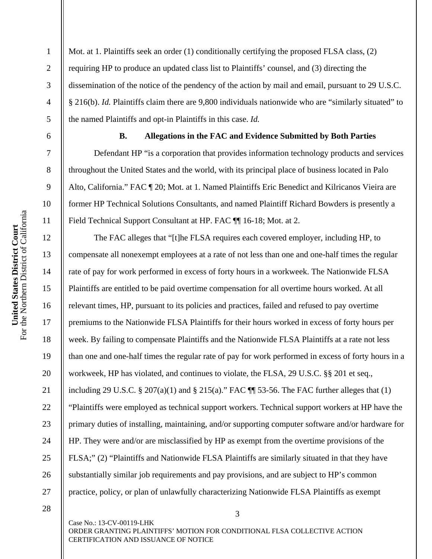7

8

9

10

11

12

13

14

15

16

17

18

19

20

21

22

23

24

25

26

27

1 2 3 4 5 Mot. at 1. Plaintiffs seek an order (1) conditionally certifying the proposed FLSA class, (2) requiring HP to produce an updated class list to Plaintiffs' counsel, and (3) directing the dissemination of the notice of the pendency of the action by mail and email, pursuant to 29 U.S.C. § 216(b). *Id.* Plaintiffs claim there are 9,800 individuals nationwide who are "similarly situated" to the named Plaintiffs and opt-in Plaintiffs in this case. *Id.*

#### **B. Allegations in the FAC and Evidence Submitted by Both Parties**

Defendant HP "is a corporation that provides information technology products and services throughout the United States and the world, with its principal place of business located in Palo Alto, California." FAC ¶ 20; Mot. at 1. Named Plaintiffs Eric Benedict and Kilricanos Vieira are former HP Technical Solutions Consultants, and named Plaintiff Richard Bowders is presently a Field Technical Support Consultant at HP. FAC ¶¶ 16-18; Mot. at 2.

 The FAC alleges that "[t]he FLSA requires each covered employer, including HP, to compensate all nonexempt employees at a rate of not less than one and one-half times the regular rate of pay for work performed in excess of forty hours in a workweek. The Nationwide FLSA Plaintiffs are entitled to be paid overtime compensation for all overtime hours worked. At all relevant times, HP, pursuant to its policies and practices, failed and refused to pay overtime premiums to the Nationwide FLSA Plaintiffs for their hours worked in excess of forty hours per week. By failing to compensate Plaintiffs and the Nationwide FLSA Plaintiffs at a rate not less than one and one-half times the regular rate of pay for work performed in excess of forty hours in a workweek, HP has violated, and continues to violate, the FLSA, 29 U.S.C. §§ 201 et seq., including 29 U.S.C. § 207(a)(1) and § 215(a)." FAC  $\P$  53-56. The FAC further alleges that (1) "Plaintiffs were employed as technical support workers. Technical support workers at HP have the primary duties of installing, maintaining, and/or supporting computer software and/or hardware for HP. They were and/or are misclassified by HP as exempt from the overtime provisions of the FLSA;" (2) "Plaintiffs and Nationwide FLSA Plaintiffs are similarly situated in that they have substantially similar job requirements and pay provisions, and are subject to HP's common practice, policy, or plan of unlawfully characterizing Nationwide FLSA Plaintiffs as exempt

28

Case No.: 13-CV-00119-LHK ORDER GRANTING PLAINTIFFS' MOTION FOR CONDITIONAL FLSA COLLECTIVE ACTION CERTIFICATION AND ISSUANCE OF NOTICE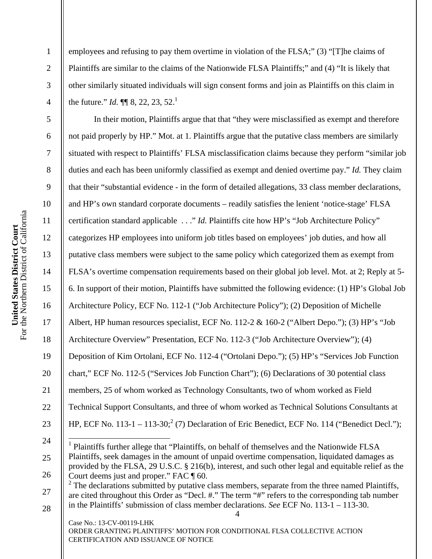2

3

4

5

6

7

8

9

10

11

12

13

14

15

16

17

18

19

20

21

22

23

24

 $\overline{a}$ 

25

26

employees and refusing to pay them overtime in violation of the FLSA;" (3) "[T]he claims of Plaintiffs are similar to the claims of the Nationwide FLSA Plaintiffs;" and (4) "It is likely that other similarly situated individuals will sign consent forms and join as Plaintiffs on this claim in the future." *Id.*  $\P\P$  8, 22, 23, 52.<sup>1</sup>

 In their motion, Plaintiffs argue that that "they were misclassified as exempt and therefore not paid properly by HP." Mot. at 1. Plaintiffs argue that the putative class members are similarly situated with respect to Plaintiffs' FLSA misclassification claims because they perform "similar job duties and each has been uniformly classified as exempt and denied overtime pay." *Id.* They claim that their "substantial evidence - in the form of detailed allegations, 33 class member declarations, and HP's own standard corporate documents – readily satisfies the lenient 'notice-stage' FLSA certification standard applicable . . ." *Id.* Plaintiffs cite how HP's "Job Architecture Policy" categorizes HP employees into uniform job titles based on employees' job duties, and how all putative class members were subject to the same policy which categorized them as exempt from FLSA's overtime compensation requirements based on their global job level. Mot. at 2; Reply at 5- 6. In support of their motion, Plaintiffs have submitted the following evidence: (1) HP's Global Job Architecture Policy, ECF No. 112-1 ("Job Architecture Policy"); (2) Deposition of Michelle Albert, HP human resources specialist, ECF No. 112-2 & 160-2 ("Albert Depo."); (3) HP's "Job Architecture Overview" Presentation, ECF No. 112-3 ("Job Architecture Overview"); (4) Deposition of Kim Ortolani, ECF No. 112-4 ("Ortolani Depo."); (5) HP's "Services Job Function chart," ECF No. 112-5 ("Services Job Function Chart"); (6) Declarations of 30 potential class members, 25 of whom worked as Technology Consultants, two of whom worked as Field Technical Support Consultants, and three of whom worked as Technical Solutions Consultants at HP, ECF No. 113-1 – 113-30;<sup>2</sup> (7) Declaration of Eric Benedict, ECF No. 114 ("Benedict Decl.");

<sup>&</sup>lt;sup>1</sup> Plaintiffs further allege that "Plaintiffs, on behalf of themselves and the Nationwide FLSA Plaintiffs, seek damages in the amount of unpaid overtime compensation, liquidated damages as provided by the FLSA, 29 U.S.C. § 216(b), interest, and such other legal and equitable relief as the Court deems just and proper." FAC ¶ 60.

<sup>27</sup>  28  $2^2$  The declarations submitted by putative class members, separate from the three named Plaintiffs, are cited throughout this Order as "Decl. #." The term "#" refers to the corresponding tab number in the Plaintiffs' submission of class member declarations. *See* ECF No. 113-1 – 113-30.

Case No.: 13-CV-00119-LHK ORDER GRANTING PLAINTIFFS' MOTION FOR CONDITIONAL FLSA COLLECTIVE ACTION CERTIFICATION AND ISSUANCE OF NOTICE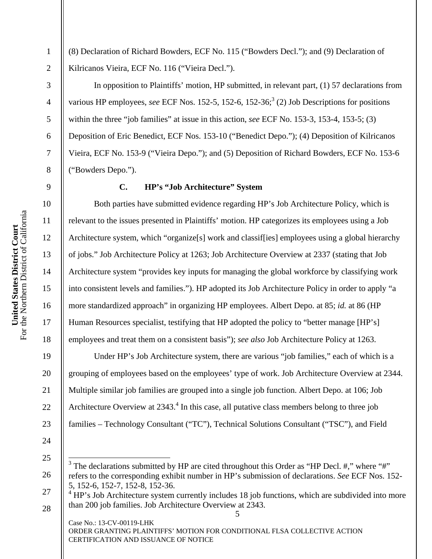(8) Declaration of Richard Bowders, ECF No. 115 ("Bowders Decl."); and (9) Declaration of Kilricanos Vieira, ECF No. 116 ("Vieira Decl.").

 In opposition to Plaintiffs' motion, HP submitted, in relevant part, (1) 57 declarations from various HP employees, *see* ECF Nos. 152-5, 152-6, 152-36;<sup>3</sup> (2) Job Descriptions for positions within the three "job families" at issue in this action, *see* ECF No. 153-3, 153-4, 153-5; (3) Deposition of Eric Benedict, ECF Nos. 153-10 ("Benedict Depo."); (4) Deposition of Kilricanos Vieira, ECF No. 153-9 ("Vieira Depo."); and (5) Deposition of Richard Bowders, ECF No. 153-6 ("Bowders Depo.").

### **C. HP's "Job Architecture" System**

Both parties have submitted evidence regarding HP's Job Architecture Policy, which is relevant to the issues presented in Plaintiffs' motion. HP categorizes its employees using a Job Architecture system, which "organize<sup>[s]</sup> work and classiffies] employees using a global hierarchy of jobs." Job Architecture Policy at 1263; Job Architecture Overview at 2337 (stating that Job Architecture system "provides key inputs for managing the global workforce by classifying work into consistent levels and families."). HP adopted its Job Architecture Policy in order to apply "a more standardized approach" in organizing HP employees. Albert Depo. at 85; *id.* at 86 (HP Human Resources specialist, testifying that HP adopted the policy to "better manage [HP's] employees and treat them on a consistent basis"); *see also* Job Architecture Policy at 1263.

Under HP's Job Architecture system, there are various "job families," each of which is a grouping of employees based on the employees' type of work. Job Architecture Overview at 2344. Multiple similar job families are grouped into a single job function. Albert Depo. at 106; Job Architecture Overview at 2343.<sup>4</sup> In this case, all putative class members belong to three job families – Technology Consultant ("TC"), Technical Solutions Consultant ("TSC"), and Field

5 Case No.: 13-CV-00119-LHK ORDER GRANTING PLAINTIFFS' MOTION FOR CONDITIONAL FLSA COLLECTIVE ACTION CERTIFICATION AND ISSUANCE OF NOTICE

1

2

3

4

5

6

7

8

9

10

11

12

13

14

15

16

17

18

19

20

21

22

23

<sup>25</sup>  26  $\overline{\phantom{a}}$ <sup>3</sup> The declarations submitted by HP are cited throughout this Order as "HP Decl. #," where "#" refers to the corresponding exhibit number in HP's submission of declarations. *See* ECF Nos. 152- 5, 152-6, 152-7, 152-8, 152-36.

<sup>27</sup>  28  $4$  HP's Job Architecture system currently includes 18 job functions, which are subdivided into more than 200 job families. Job Architecture Overview at 2343.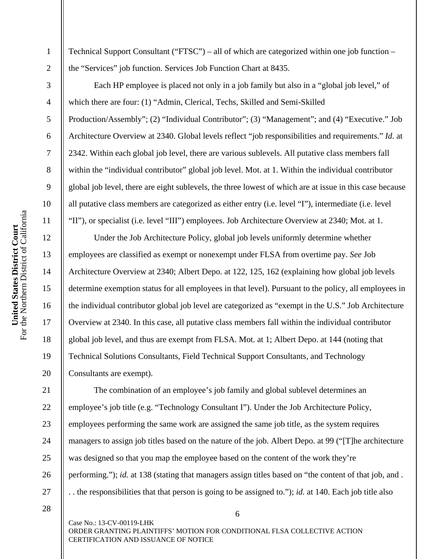2

3

4

5

6

7

8

9

10

11

12

13

14

15

16

17

18

19

20

21

22

23

24

25

26

27

Technical Support Consultant ("FTSC") – all of which are categorized within one job function – the "Services" job function. Services Job Function Chart at 8435.

 Each HP employee is placed not only in a job family but also in a "global job level," of which there are four: (1) "Admin, Clerical, Techs, Skilled and Semi-Skilled Production/Assembly"; (2) "Individual Contributor"; (3) "Management"; and (4) "Executive." Job Architecture Overview at 2340. Global levels reflect "job responsibilities and requirements." *Id.* at 2342. Within each global job level, there are various sublevels. All putative class members fall within the "individual contributor" global job level. Mot. at 1. Within the individual contributor global job level, there are eight sublevels, the three lowest of which are at issue in this case because all putative class members are categorized as either entry (i.e. level "I"), intermediate (i.e. level "II"), or specialist (i.e. level "III") employees. Job Architecture Overview at 2340; Mot. at 1.

 Under the Job Architecture Policy, global job levels uniformly determine whether employees are classified as exempt or nonexempt under FLSA from overtime pay. *See* Job Architecture Overview at 2340; Albert Depo. at 122, 125, 162 (explaining how global job levels determine exemption status for all employees in that level). Pursuant to the policy, all employees in the individual contributor global job level are categorized as "exempt in the U.S." Job Architecture Overview at 2340. In this case, all putative class members fall within the individual contributor global job level, and thus are exempt from FLSA. Mot. at 1; Albert Depo. at 144 (noting that Technical Solutions Consultants, Field Technical Support Consultants, and Technology Consultants are exempt).

 The combination of an employee's job family and global sublevel determines an employee's job title (e.g. "Technology Consultant I"). Under the Job Architecture Policy, employees performing the same work are assigned the same job title, as the system requires managers to assign job titles based on the nature of the job. Albert Depo. at 99 ("[T]he architecture was designed so that you map the employee based on the content of the work they're performing."); *id.* at 138 (stating that managers assign titles based on "the content of that job, and . . . the responsibilities that that person is going to be assigned to."); *id.* at 140. Each job title also

28

Case No.: 13-CV-00119-LHK ORDER GRANTING PLAINTIFFS' MOTION FOR CONDITIONAL FLSA COLLECTIVE ACTION CERTIFICATION AND ISSUANCE OF NOTICE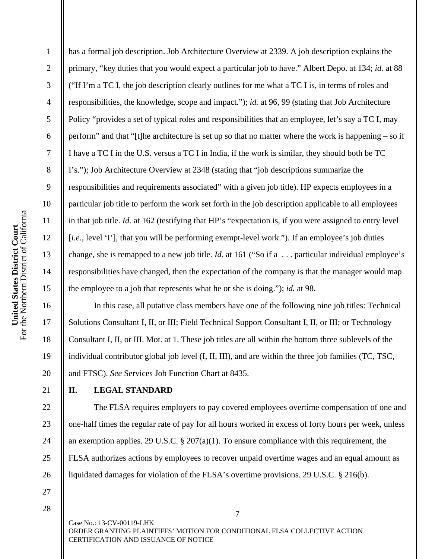2

3

has a formal job description. Job Architecture Overview at 2339. A job description explains the primary, "key duties that you would expect a particular job to have." Albert Depo. at 134; *id.* at 88 ("If I'm a TC I, the job description clearly outlines for me what a TC I is, in terms of roles and responsibilities, the knowledge, scope and impact."); *id.* at 96, 99 (stating that Job Architecture Policy "provides a set of typical roles and responsibilities that an employee, let's say a TC I, may perform" and that "[t]he architecture is set up so that no matter where the work is happening – so if I have a TC I in the U.S. versus a TC I in India, if the work is similar, they should both be TC I's."); Job Architecture Overview at 2348 (stating that "job descriptions summarize the responsibilities and requirements associated" with a given job title). HP expects employees in a particular job title to perform the work set forth in the job description applicable to all employees in that job title. *Id.* at 162 (testifying that HP's "expectation is, if you were assigned to entry level [*i.e.*, level 'I'], that you will be performing exempt-level work."). If an employee's job duties change, she is remapped to a new job title. *Id.* at 161 ("So if a . . . particular individual employee's responsibilities have changed, then the expectation of the company is that the manager would map the employee to a job that represents what he or she is doing."); *id.* at 98.

 In this case, all putative class members have one of the following nine job titles: Technical Solutions Consultant I, II, or III; Field Technical Support Consultant I, II, or III; or Technology Consultant I, II, or III. Mot. at 1. These job titles are all within the bottom three sublevels of the individual contributor global job level (I, II, III), and are within the three job families (TC, TSC, and FTSC). *See* Services Job Function Chart at 8435.

# **II. LEGAL STANDARD**

 The FLSA requires employers to pay covered employees overtime compensation of one and one-half times the regular rate of pay for all hours worked in excess of forty hours per week, unless an exemption applies. 29 U.S.C. § 207(a)(1). To ensure compliance with this requirement, the FLSA authorizes actions by employees to recover unpaid overtime wages and an equal amount as liquidated damages for violation of the FLSA's overtime provisions. 29 U.S.C. § 216(b).

27 28

18

19

20

21

22

23

24

25

26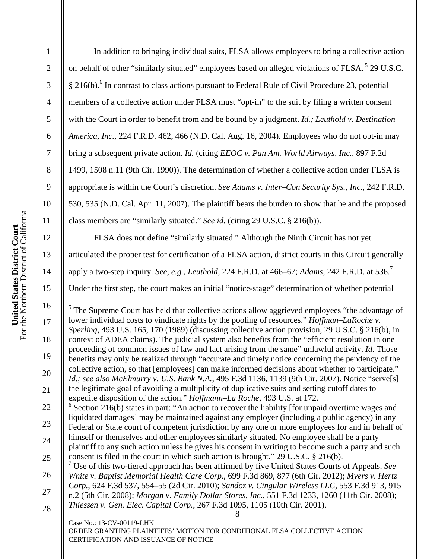9

11

12

13

14

15

16

17

18

19

20

21

2 3 4 5 6 7 8 10 In addition to bringing individual suits, FLSA allows employees to bring a collective action on behalf of other "similarly situated" employees based on alleged violations of FLSA.<sup>5</sup> 29 U.S.C. § 216(b).<sup>6</sup> In contrast to class actions pursuant to Federal Rule of Civil Procedure 23, potential members of a collective action under FLSA must "opt-in" to the suit by filing a written consent with the Court in order to benefit from and be bound by a judgment. *Id.; Leuthold v. Destination America, Inc.*, 224 F.R.D. 462, 466 (N.D. Cal. Aug. 16, 2004). Employees who do not opt-in may bring a subsequent private action. *Id.* (citing *EEOC v. Pan Am. World Airways, Inc.*, 897 F.2d 1499, 1508 n.11 (9th Cir. 1990)). The determination of whether a collective action under FLSA is appropriate is within the Court's discretion. *See Adams v. Inter–Con Security Sys., Inc.*, 242 F.R.D. 530, 535 (N.D. Cal. Apr. 11, 2007). The plaintiff bears the burden to show that he and the proposed class members are "similarly situated." *See id.* (citing 29 U.S.C. § 216(b)).

 FLSA does not define "similarly situated." Although the Ninth Circuit has not yet articulated the proper test for certification of a FLSA action, district courts in this Circuit generally apply a two-step inquiry. *See, e.g.*, *Leuthold*, 224 F.R.D. at 466–67; *Adams*, 242 F.R.D. at 536.7

Under the first step, the court makes an initial "notice-stage" determination of whether potential

<sup>5</sup>The Supreme Court has held that collective actions allow aggrieved employees "the advantage of lower individual costs to vindicate rights by the pooling of resources." *Hoffman–LaRoche v. Sperling*, 493 U.S. 165, 170 (1989) (discussing collective action provision, 29 U.S.C. § 216(b), in context of ADEA claims). The judicial system also benefits from the "efficient resolution in one proceeding of common issues of law and fact arising from the same" unlawful activity. *Id.* Those benefits may only be realized through "accurate and timely notice concerning the pendency of the collective action, so that [employees] can make informed decisions about whether to participate." *Id.; see also McElmurry v. U.S. Bank N.A.*, 495 F.3d 1136, 1139 (9th Cir. 2007). Notice "serve[s] the legitimate goal of avoiding a multiplicity of duplicative suits and setting cutoff dates to expedite disposition of the action." *Hoffmann–La Roche*, 493 U.S. at 172.

22 23 24 25  $6$  Section 216(b) states in part: "An action to recover the liability [for unpaid overtime wages and liquidated damages] may be maintained against any employer (including a public agency) in any Federal or State court of competent jurisdiction by any one or more employees for and in behalf of himself or themselves and other employees similarly situated. No employee shall be a party plaintiff to any such action unless he gives his consent in writing to become such a party and such consent is filed in the court in which such action is brought." 29 U.S.C. § 216(b).

26 27 28 7 Use of this two-tiered approach has been affirmed by five United States Courts of Appeals. *See White v. Baptist Memorial Health Care Corp.*, 699 F.3d 869, 877 (6th Cir. 2012); *Myers v. Hertz Corp.*, 624 F.3d 537, 554–55 (2d Cir. 2010); *Sandoz v. Cingular Wireless LLC*, 553 F.3d 913, 915 n.2 (5th Cir. 2008); *Morgan v. Family Dollar Stores, Inc.*, 551 F.3d 1233, 1260 (11th Cir. 2008); *Thiessen v. Gen. Elec. Capital Corp.*, 267 F.3d 1095, 1105 (10th Cir. 2001).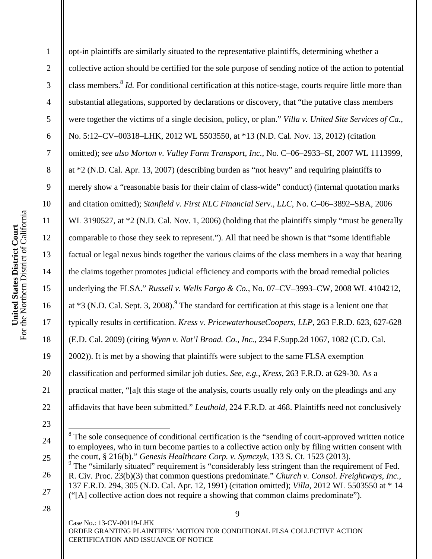2

3

4

5

6

7

8

9

10

11

12

13

14

15

16

17

18

19

20

21

22

| opt-in plaintiffs are similarly situated to the representative plaintiffs, determining whether a                           |
|----------------------------------------------------------------------------------------------------------------------------|
| collective action should be certified for the sole purpose of sending notice of the action to potential                    |
| class members. <sup>8</sup> <i>Id.</i> For conditional certification at this notice-stage, courts require little more than |
| substantial allegations, supported by declarations or discovery, that "the putative class members                          |
| were together the victims of a single decision, policy, or plan." Villa v. United Site Services of Ca.,                    |
| No. 5:12-CV-00318-LHK, 2012 WL 5503550, at *13 (N.D. Cal. Nov. 13, 2012) (citation                                         |
| omitted); see also Morton v. Valley Farm Transport, Inc., No. C-06-2933-SI, 2007 WL 1113999,                               |
| at *2 (N.D. Cal. Apr. 13, 2007) (describing burden as "not heavy" and requiring plaintiffs to                              |
| merely show a "reasonable basis for their claim of class-wide" conduct) (internal quotation marks                          |
| and citation omitted); Stanfield v. First NLC Financial Serv., LLC, No. C-06-3892-SBA, 2006                                |
| WL 3190527, at *2 (N.D. Cal. Nov. 1, 2006) (holding that the plaintiffs simply "must be generally                          |
| comparable to those they seek to represent."). All that need be shown is that "some identifiable                           |
| factual or legal nexus binds together the various claims of the class members in a way that hearing                        |
| the claims together promotes judicial efficiency and comports with the broad remedial policies                             |
| underlying the FLSA." Russell v. Wells Fargo & Co., No. 07-CV-3993-CW, 2008 WL 4104212,                                    |
| at *3 (N.D. Cal. Sept. 3, 2008). <sup>9</sup> The standard for certification at this stage is a lenient one that           |
| typically results in certification. Kress v. PricewaterhouseCoopers, LLP, 263 F.R.D. 623, 627-628                          |
| (E.D. Cal. 2009) (citing Wynn v. Nat'l Broad. Co., Inc., 234 F.Supp.2d 1067, 1082 (C.D. Cal.                               |
| 2002)). It is met by a showing that plaintiffs were subject to the same FLSA exemption                                     |
| classification and performed similar job duties. See, e.g., Kress, 263 F.R.D. at 629-30. As a                              |
| practical matter, "[a]t this stage of the analysis, courts usually rely only on the pleadings and any                      |
| affidavits that have been submitted." Leuthold, 224 F.R.D. at 468. Plaintiffs need not conclusively                        |
|                                                                                                                            |

<sup>23</sup> 

26

27

<sup>24</sup>  25

<sup>&</sup>lt;sup>8</sup>The sole consequence of conditional certification is the "sending of court-approved written notice to employees, who in turn become parties to a collective action only by filing written consent with the court, § 216(b)." *Genesis Healthcare Corp. v. Symczyk*, 133 S. Ct. 1523 (2013).

<sup>&</sup>lt;sup>9</sup> The "similarly situated" requirement is "considerably less stringent than the requirement of Fed. R. Civ. Proc. 23(b)(3) that common questions predominate." *Church v. Consol. Freightways, Inc.*, 137 F.R.D. 294, 305 (N.D. Cal. Apr. 12, 1991) (citation omitted); *Villa*, 2012 WL 5503550 at \* 14 ("[A] collective action does not require a showing that common claims predominate").

<sup>28</sup>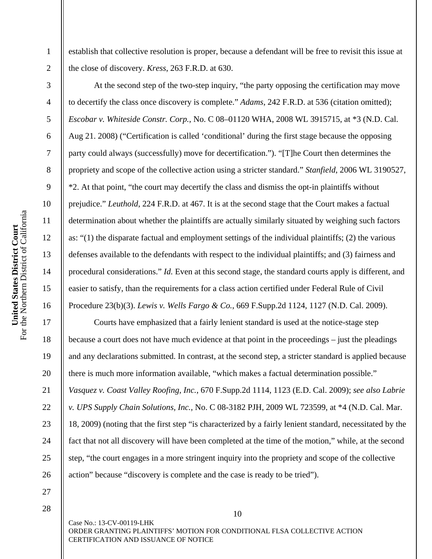establish that collective resolution is proper, because a defendant will be free to revisit this issue at the close of discovery. *Kress*, 263 F.R.D. at 630.

 At the second step of the two-step inquiry, "the party opposing the certification may move to decertify the class once discovery is complete." *Adams*, 242 F.R.D. at 536 (citation omitted); *Escobar v. Whiteside Constr. Corp.*, No. C 08–01120 WHA, 2008 WL 3915715, at \*3 (N.D. Cal. Aug 21. 2008) ("Certification is called 'conditional' during the first stage because the opposing party could always (successfully) move for decertification."). "[T]he Court then determines the propriety and scope of the collective action using a stricter standard." *Stanfield*, 2006 WL 3190527, \*2. At that point, "the court may decertify the class and dismiss the opt-in plaintiffs without prejudice." *Leuthold*, 224 F.R.D. at 467. It is at the second stage that the Court makes a factual determination about whether the plaintiffs are actually similarly situated by weighing such factors as: "(1) the disparate factual and employment settings of the individual plaintiffs; (2) the various defenses available to the defendants with respect to the individual plaintiffs; and (3) fairness and procedural considerations." *Id.* Even at this second stage, the standard courts apply is different, and easier to satisfy, than the requirements for a class action certified under Federal Rule of Civil Procedure 23(b)(3). *Lewis v. Wells Fargo & Co.*, 669 F.Supp.2d 1124, 1127 (N.D. Cal. 2009).

 Courts have emphasized that a fairly lenient standard is used at the notice-stage step because a court does not have much evidence at that point in the proceedings – just the pleadings and any declarations submitted. In contrast, at the second step, a stricter standard is applied because there is much more information available, "which makes a factual determination possible." *Vasquez v. Coast Valley Roofing, Inc.*, 670 F.Supp.2d 1114, 1123 (E.D. Cal. 2009); *see also Labrie v. UPS Supply Chain Solutions, Inc.*, No. C 08-3182 PJH, 2009 WL 723599, at \*4 (N.D. Cal. Mar. 18, 2009) (noting that the first step "is characterized by a fairly lenient standard, necessitated by the fact that not all discovery will have been completed at the time of the motion," while, at the second step, "the court engages in a more stringent inquiry into the propriety and scope of the collective action" because "discovery is complete and the case is ready to be tried").

1

2

3

4

5

6

7

8

9

10

11

12

13

14

15

16

17

18

19

20

21

22

23

24

25

26

27 28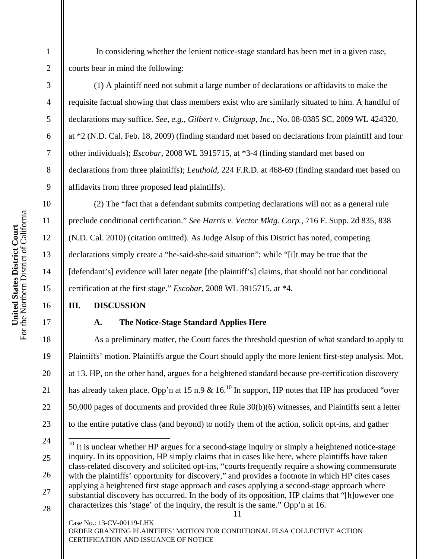In considering whether the lenient notice-stage standard has been met in a given case, courts bear in mind the following:

 (1) A plaintiff need not submit a large number of declarations or affidavits to make the requisite factual showing that class members exist who are similarly situated to him. A handful of declarations may suffice. *See, e.g.*, *Gilbert v. Citigroup, Inc.*, No. 08-0385 SC, 2009 WL 424320, at \*2 (N.D. Cal. Feb. 18, 2009) (finding standard met based on declarations from plaintiff and four other individuals); *Escobar*, 2008 WL 3915715, at \*3-4 (finding standard met based on declarations from three plaintiffs); *Leuthold*, 224 F.R.D. at 468-69 (finding standard met based on affidavits from three proposed lead plaintiffs).

 (2) The "fact that a defendant submits competing declarations will not as a general rule preclude conditional certification." *See Harris v. Vector Mktg. Corp.*, 716 F. Supp. 2d 835, 838 (N.D. Cal. 2010) (citation omitted). As Judge Alsup of this District has noted, competing declarations simply create a "he-said-she-said situation"; while "[i]t may be true that the [defendant's] evidence will later negate [the plaintiff's] claims, that should not bar conditional certification at the first stage." *Escobar*, 2008 WL 3915715, at \*4.

# **III. DISCUSSION**

# **A. The Notice-Stage Standard Applies Here**

As a preliminary matter, the Court faces the threshold question of what standard to apply to Plaintiffs' motion. Plaintiffs argue the Court should apply the more lenient first-step analysis. Mot. at 13. HP, on the other hand, argues for a heightened standard because pre-certification discovery has already taken place. Opp'n at 15 n.9  $\&$  16.<sup>10</sup> In support, HP notes that HP has produced "over 50,000 pages of documents and provided three Rule 30(b)(6) witnesses, and Plaintiffs sent a letter to the entire putative class (and beyond) to notify them of the action, solicit opt-ins, and gather

Case No.: 13-CV-00119-LHK ORDER GRANTING PLAINTIFFS' MOTION FOR CONDITIONAL FLSA COLLECTIVE ACTION CERTIFICATION AND ISSUANCE OF NOTICE

1

2

3

4

5

6

7

8

9

10

11

12

13

14

15

16

17

18

19

20

21

22

23

26 27 28

<sup>11</sup>  24 25  $\overline{a}$  $10$  It is unclear whether HP argues for a second-stage inquiry or simply a heightened notice-stage inquiry. In its opposition, HP simply claims that in cases like here, where plaintiffs have taken class-related discovery and solicited opt-ins, "courts frequently require a showing commensurate with the plaintiffs' opportunity for discovery," and provides a footnote in which HP cites cases applying a heightened first stage approach and cases applying a second-stage approach where substantial discovery has occurred. In the body of its opposition, HP claims that "[h]owever one characterizes this 'stage' of the inquiry, the result is the same." Opp'n at 16.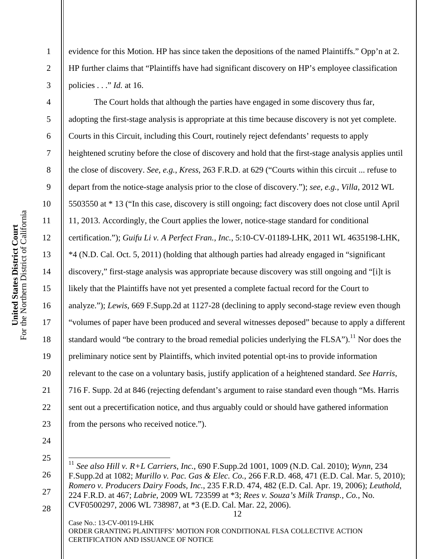For the Northern District of California United States District Court<br>For the Northern District of California **United States District Court** 

1

2

3

4

5

6

7

8

9

10

11

12

13

14

15

16

17

18

19

20

21

22

23

evidence for this Motion. HP has since taken the depositions of the named Plaintiffs." Opp'n at 2. HP further claims that "Plaintiffs have had significant discovery on HP's employee classification policies . . ." *Id.* at 16.

 The Court holds that although the parties have engaged in some discovery thus far, adopting the first-stage analysis is appropriate at this time because discovery is not yet complete. Courts in this Circuit, including this Court, routinely reject defendants' requests to apply heightened scrutiny before the close of discovery and hold that the first-stage analysis applies until the close of discovery. *See, e.g.*, *Kress*, 263 F.R.D. at 629 ("Courts within this circuit ... refuse to depart from the notice-stage analysis prior to the close of discovery."); *see, e.g.*, *Villa*, 2012 WL 5503550 at \* 13 ("In this case, discovery is still ongoing; fact discovery does not close until April 11, 2013. Accordingly, the Court applies the lower, notice-stage standard for conditional certification."); *Guifu Li v. A Perfect Fran., Inc.*, 5:10-CV-01189-LHK, 2011 WL 4635198-LHK, \*4 (N.D. Cal. Oct. 5, 2011) (holding that although parties had already engaged in "significant discovery," first-stage analysis was appropriate because discovery was still ongoing and "[i]t is likely that the Plaintiffs have not yet presented a complete factual record for the Court to analyze."); *Lewis*, 669 F.Supp.2d at 1127-28 (declining to apply second-stage review even though "volumes of paper have been produced and several witnesses deposed" because to apply a different standard would "be contrary to the broad remedial policies underlying the  $FLSA$ ").<sup>11</sup> Nor does the preliminary notice sent by Plaintiffs, which invited potential opt-ins to provide information relevant to the case on a voluntary basis, justify application of a heightened standard. *See Harris*, 716 F. Supp. 2d at 846 (rejecting defendant's argument to raise standard even though "Ms. Harris sent out a precertification notice, and thus arguably could or should have gathered information from the persons who received notice.").

25

26

27

28

 $\overline{\phantom{a}}$ <sup>11</sup> *See also Hill v. R+L Carriers, Inc.*, 690 F.Supp.2d 1001, 1009 (N.D. Cal. 2010); *Wynn*, 234 F.Supp.2d at 1082; *Murillo v. Pac. Gas & Elec. Co.*, 266 F.R.D. 468, 471 (E.D. Cal. Mar. 5, 2010); *Romero v. Producers Dairy Foods, Inc.*, 235 F.R.D. 474, 482 (E.D. Cal. Apr. 19, 2006); *Leuthold*, 224 F.R.D. at 467; *Labrie*, 2009 WL 723599 at \*3; *Rees v. Souza's Milk Transp., Co.*, No.

<sup>12</sup>  CVF0500297, 2006 WL 738987, at \*3 (E.D. Cal. Mar. 22, 2006).

Case No.: 13-CV-00119-LHK ORDER GRANTING PLAINTIFFS' MOTION FOR CONDITIONAL FLSA COLLECTIVE ACTION CERTIFICATION AND ISSUANCE OF NOTICE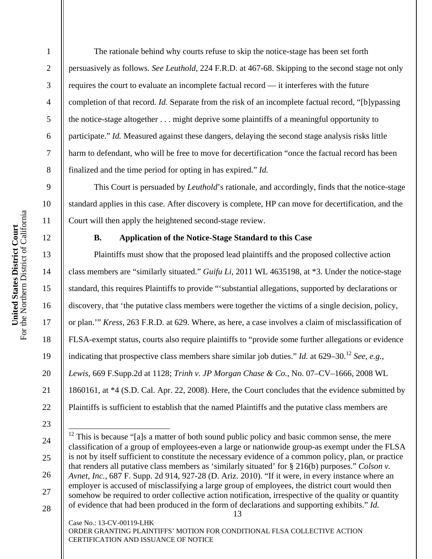The rationale behind why courts refuse to skip the notice-stage has been set forth persuasively as follows. *See Leuthold*, 224 F.R.D. at 467-68. Skipping to the second stage not only requires the court to evaluate an incomplete factual record — it interferes with the future completion of that record. *Id.* Separate from the risk of an incomplete factual record, "[b]ypassing the notice-stage altogether . . . might deprive some plaintiffs of a meaningful opportunity to participate." *Id.* Measured against these dangers, delaying the second stage analysis risks little harm to defendant, who will be free to move for decertification "once the factual record has been finalized and the time period for opting in has expired." *Id.* 

 This Court is persuaded by *Leuthold*'s rationale, and accordingly, finds that the notice-stage standard applies in this case. After discovery is complete, HP can move for decertification, and the Court will then apply the heightened second-stage review.

### **B. Application of the Notice-Stage Standard to this Case**

 Plaintiffs must show that the proposed lead plaintiffs and the proposed collective action class members are "similarly situated." *Guifu Li*, 2011 WL 4635198, at \*3. Under the notice-stage standard, this requires Plaintiffs to provide "'substantial allegations, supported by declarations or discovery, that 'the putative class members were together the victims of a single decision, policy, or plan.'" *Kress*, 263 F.R.D. at 629. Where, as here, a case involves a claim of misclassification of FLSA-exempt status, courts also require plaintiffs to "provide some further allegations or evidence indicating that prospective class members share similar job duties." *Id.* at  $629-30$ .<sup>12</sup> *See, e.g.*, *Lewis*, 669 F.Supp.2d at 1128; *Trinh v. JP Morgan Chase & Co.*, No. 07–CV–1666, 2008 WL 1860161, at \*4 (S.D. Cal. Apr. 22, 2008). Here, the Court concludes that the evidence submitted by Plaintiffs is sufficient to establish that the named Plaintiffs and the putative class members are

Case No.: 13-CV-00119-LHK ORDER GRANTING PLAINTIFFS' MOTION FOR CONDITIONAL FLSA COLLECTIVE ACTION CERTIFICATION AND ISSUANCE OF NOTICE

1

2

3

4

5

6

7

8

9

10

11

12

13

14

15

16

17

18

19

20

21

22

23

24

25

26

27

<sup>13</sup>   $\overline{\phantom{a}}$  $12$  This is because "[a]s a matter of both sound public policy and basic common sense, the mere classification of a group of employees-even a large or nationwide group-as exempt under the FLSA is not by itself sufficient to constitute the necessary evidence of a common policy, plan, or practice that renders all putative class members as 'similarly situated' for § 216(b) purposes." *Colson v. Avnet, Inc.*, 687 F. Supp. 2d 914, 927-28 (D. Ariz. 2010). "If it were, in every instance where an employer is accused of misclassifying a large group of employees, the district court would then somehow be required to order collective action notification, irrespective of the quality or quantity of evidence that had been produced in the form of declarations and supporting exhibits." *Id.*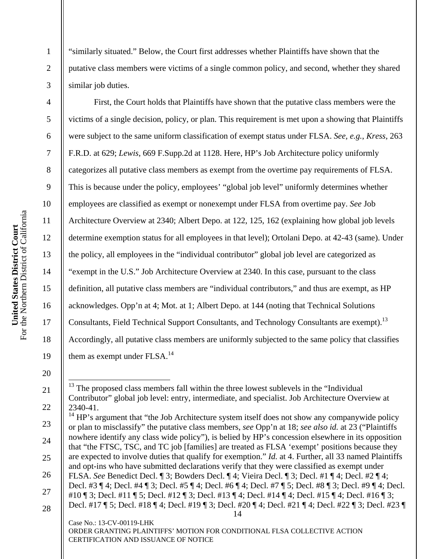For the Northern District of California United States District Court<br>For the Northern District of California **United States District Court** 

1

2

3

4

5

6

7

8

9

10

11

12

13

14

15

16

17

18

19

20

21

22

"similarly situated." Below, the Court first addresses whether Plaintiffs have shown that the putative class members were victims of a single common policy, and second, whether they shared similar job duties.

 First, the Court holds that Plaintiffs have shown that the putative class members were the victims of a single decision, policy, or plan. This requirement is met upon a showing that Plaintiffs were subject to the same uniform classification of exempt status under FLSA. *See, e.g.*, *Kress*, 263 F.R.D. at 629; *Lewis*, 669 F.Supp.2d at 1128. Here, HP's Job Architecture policy uniformly categorizes all putative class members as exempt from the overtime pay requirements of FLSA. This is because under the policy, employees' "global job level" uniformly determines whether employees are classified as exempt or nonexempt under FLSA from overtime pay. *See* Job Architecture Overview at 2340; Albert Depo. at 122, 125, 162 (explaining how global job levels determine exemption status for all employees in that level); Ortolani Depo. at 42-43 (same). Under the policy, all employees in the "individual contributor" global job level are categorized as "exempt in the U.S." Job Architecture Overview at 2340. In this case, pursuant to the class definition, all putative class members are "individual contributors," and thus are exempt, as HP acknowledges. Opp'n at 4; Mot. at 1; Albert Depo. at 144 (noting that Technical Solutions Consultants, Field Technical Support Consultants, and Technology Consultants are exempt).<sup>13</sup> Accordingly, all putative class members are uniformly subjected to the same policy that classifies them as exempt under  $FLSA.<sup>14</sup>$ 

ORDER GRANTING PLAINTIFFS' MOTION FOR CONDITIONAL FLSA COLLECTIVE ACTION CERTIFICATION AND ISSUANCE OF NOTICE

 $\overline{\phantom{a}}$ The proposed class members fall within the three lowest sublevels in the "Individual" Contributor" global job level: entry, intermediate, and specialist. Job Architecture Overview at 2340-41.

<sup>14</sup>  Case No.: 13-CV-00119-LHK 23 24 25 26 27 28  $14$  HP's argument that "the Job Architecture system itself does not show any companywide policy or plan to misclassify" the putative class members, *see* Opp'n at 18; *see also id.* at 23 ("Plaintiffs nowhere identify any class wide policy"), is belied by HP's concession elsewhere in its opposition that "the FTSC, TSC, and TC job [families] are treated as FLSA 'exempt' positions because they are expected to involve duties that qualify for exemption." *Id.* at 4. Further, all 33 named Plaintiffs and opt-ins who have submitted declarations verify that they were classified as exempt under FLSA. *See* Benedict Decl. ¶ 3; Bowders Decl. ¶ 4; Vieira Decl. ¶ 3; Decl. #1 ¶ 4; Decl. #2 ¶ 4; Decl. #3 ¶ 4; Decl. #4 ¶ 3; Decl. #5 ¶ 4; Decl. #6 ¶ 4; Decl. #7 ¶ 5; Decl. #8 ¶ 3; Decl. #9 ¶ 4; Decl. #10 ¶ 3; Decl. #11 ¶ 5; Decl. #12 ¶ 3; Decl. #13 ¶ 4; Decl. #14 ¶ 4; Decl. #15 ¶ 4; Decl. #16 ¶ 3; Decl. #17 ¶ 5; Decl. #18 ¶ 4; Decl. #19 ¶ 3; Decl. #20 ¶ 4; Decl. #21 ¶ 4; Decl. #22 ¶ 3; Decl. #23 ¶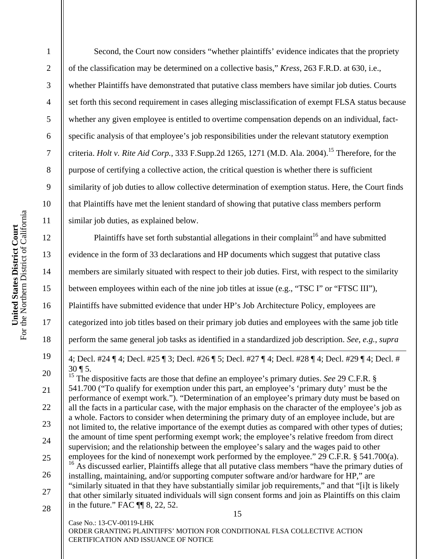4 5 6 7 8 9 10 For the Northern District of California United States District Court<br>For the Northern District of California 11 **United States District Court**  12 13 14 15 16 17

18

19

20

21

22

23

24

25

26

27

28

1

2

3

 Second, the Court now considers "whether plaintiffs' evidence indicates that the propriety of the classification may be determined on a collective basis," *Kress*, 263 F.R.D. at 630, i.e., whether Plaintiffs have demonstrated that putative class members have similar job duties. Courts set forth this second requirement in cases alleging misclassification of exempt FLSA status because whether any given employee is entitled to overtime compensation depends on an individual, factspecific analysis of that employee's job responsibilities under the relevant statutory exemption criteria. *Holt v. Rite Aid Corp.*, 333 F.Supp.2d 1265, 1271 (M.D. Ala. 2004).<sup>15</sup> Therefore, for the purpose of certifying a collective action, the critical question is whether there is sufficient similarity of job duties to allow collective determination of exemption status. Here, the Court finds that Plaintiffs have met the lenient standard of showing that putative class members perform similar job duties, as explained below. Plaintiffs have set forth substantial allegations in their complaint<sup>16</sup> and have submitted

evidence in the form of 33 declarations and HP documents which suggest that putative class members are similarly situated with respect to their job duties. First, with respect to the similarity between employees within each of the nine job titles at issue (e.g., "TSC I" or "FTSC III"), Plaintiffs have submitted evidence that under HP's Job Architecture Policy, employees are categorized into job titles based on their primary job duties and employees with the same job title perform the same general job tasks as identified in a standardized job description. *See, e.g.*, *supra*   $\overline{a}$ 

4; Decl. #24 ¶ 4; Decl. #25 ¶ 3; Decl. #26 ¶ 5; Decl. #27 ¶ 4; Decl. #28 ¶ 4; Decl. #29 ¶ 4; Decl. #  $30 \, \text{T}$  5.

15 <sup>15</sup> The dispositive facts are those that define an employee's primary duties. *See* 29 C.F.R. § 541.700 ("To qualify for exemption under this part, an employee's 'primary duty' must be the performance of exempt work."). "Determination of an employee's primary duty must be based on all the facts in a particular case, with the major emphasis on the character of the employee's job as a whole. Factors to consider when determining the primary duty of an employee include, but are not limited to, the relative importance of the exempt duties as compared with other types of duties; the amount of time spent performing exempt work; the employee's relative freedom from direct supervision; and the relationship between the employee's salary and the wages paid to other employees for the kind of nonexempt work performed by the employee." 29 C.F.R. § 541.700(a). <sup>16</sup> As discussed earlier, Plaintiffs allege that all putative class members "have the primary duties of installing, maintaining, and/or supporting computer software and/or hardware for HP," are "similarly situated in that they have substantially similar job requirements," and that "[i]t is likely that other similarly situated individuals will sign consent forms and join as Plaintiffs on this claim in the future." FAC ¶¶ 8, 22, 52.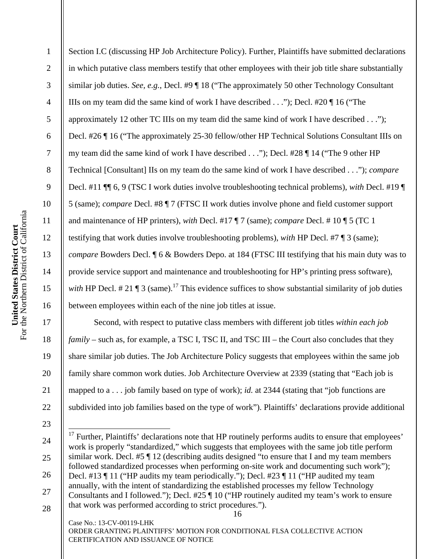3 4 5 6 7 8 9 10 For the Northern District of California United States District Court<br>For the Northern District of California 11 **United States District Court**  12 13 14 15 16 17 18

19

20

21

22

23

1

2

Section I.C (discussing HP Job Architecture Policy). Further, Plaintiffs have submitted declarations in which putative class members testify that other employees with their job title share substantially similar job duties. *See, e.g.*, Decl. #9 ¶ 18 ("The approximately 50 other Technology Consultant IIIs on my team did the same kind of work I have described . . ."); Decl. #20 ¶ 16 ("The approximately 12 other TC IIIs on my team did the same kind of work I have described . . ."); Decl. #26 ¶ 16 ("The approximately 25-30 fellow/other HP Technical Solutions Consultant IIIs on my team did the same kind of work I have described . . ."); Decl. #28 ¶ 14 ("The 9 other HP Technical [Consultant] IIs on my team do the same kind of work I have described . . ."); *compare* Decl. #11 ¶¶ 6, 9 (TSC I work duties involve troubleshooting technical problems), *with* Decl. #19 ¶ 5 (same); *compare* Decl. #8 ¶ 7 (FTSC II work duties involve phone and field customer support and maintenance of HP printers), *with* Decl. #17 ¶ 7 (same); *compare* Decl. # 10 ¶ 5 (TC 1 testifying that work duties involve troubleshooting problems), *with* HP Decl. #7 ¶ 3 (same); *compare* Bowders Decl. ¶ 6 & Bowders Depo. at 184 (FTSC III testifying that his main duty was to provide service support and maintenance and troubleshooting for HP's printing press software), *with* HP Decl.  $\# 21 \P 3$  (same).<sup>17</sup> This evidence suffices to show substantial similarity of job duties between employees within each of the nine job titles at issue.

 Second, with respect to putative class members with different job titles *within each job family* – such as, for example, a TSC I, TSC II, and TSC III – the Court also concludes that they share similar job duties. The Job Architecture Policy suggests that employees within the same job family share common work duties. Job Architecture Overview at 2339 (stating that "Each job is mapped to a . . . job family based on type of work); *id.* at 2344 (stating that "job functions are subdivided into job families based on the type of work"). Plaintiffs' declarations provide additional

<sup>24</sup>  25 26 27 28  $\overline{\phantom{a}}$  $17$  Further, Plaintiffs' declarations note that HP routinely performs audits to ensure that employees' work is properly "standardized," which suggests that employees with the same job title perform similar work. Decl. #5 ¶ 12 (describing audits designed "to ensure that I and my team members followed standardized processes when performing on-site work and documenting such work"); Decl. #13 ¶ 11 ("HP audits my team periodically."); Decl. #23 ¶ 11 ("HP audited my team annually, with the intent of standardizing the established processes my fellow Technology Consultants and I followed."); Decl. #25 ¶ 10 ("HP routinely audited my team's work to ensure that work was performed according to strict procedures.").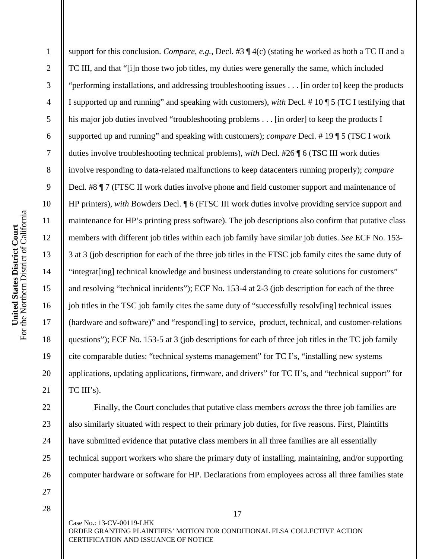3 4 5 6 7 8 9 10 For the Northern District of California United States District Court<br>For the Northern District of California 11 **United States District Court**  12 13 14 15 16 17 18

19

20

21

22

23

24

25

26

1

2

support for this conclusion. *Compare, e.g.*, Decl. #3 ¶ 4(c) (stating he worked as both a TC II and a TC III, and that "[i]n those two job titles, my duties were generally the same, which included "performing installations, and addressing troubleshooting issues . . . [in order to] keep the products I supported up and running" and speaking with customers), *with* Decl. # 10 ¶ 5 (TC I testifying that his major job duties involved "troubleshooting problems . . . [in order] to keep the products I supported up and running" and speaking with customers); *compare* Decl. # 19 ¶ 5 (TSC I work duties involve troubleshooting technical problems), *with* Decl. #26 ¶ 6 (TSC III work duties involve responding to data-related malfunctions to keep datacenters running properly); *compare* Decl. #8 ¶ 7 (FTSC II work duties involve phone and field customer support and maintenance of HP printers), *with* Bowders Decl. ¶ 6 (FTSC III work duties involve providing service support and maintenance for HP's printing press software). The job descriptions also confirm that putative class members with different job titles within each job family have similar job duties. *See* ECF No. 153- 3 at 3 (job description for each of the three job titles in the FTSC job family cites the same duty of "integrat[ing] technical knowledge and business understanding to create solutions for customers" and resolving "technical incidents"); ECF No. 153-4 at 2-3 (job description for each of the three job titles in the TSC job family cites the same duty of "successfully resolv[ing] technical issues (hardware and software)" and "respond[ing] to service, product, technical, and customer-relations questions"); ECF No. 153-5 at 3 (job descriptions for each of three job titles in the TC job family cite comparable duties: "technical systems management" for TC I's, "installing new systems applications, updating applications, firmware, and drivers" for TC II's, and "technical support" for  $TC III's$ ).

 Finally, the Court concludes that putative class members *across* the three job families are also similarly situated with respect to their primary job duties, for five reasons. First, Plaintiffs have submitted evidence that putative class members in all three families are all essentially technical support workers who share the primary duty of installing, maintaining, and/or supporting computer hardware or software for HP. Declarations from employees across all three families state

27 28

> Case No.: 13-CV-00119-LHK ORDER GRANTING PLAINTIFFS' MOTION FOR CONDITIONAL FLSA COLLECTIVE ACTION CERTIFICATION AND ISSUANCE OF NOTICE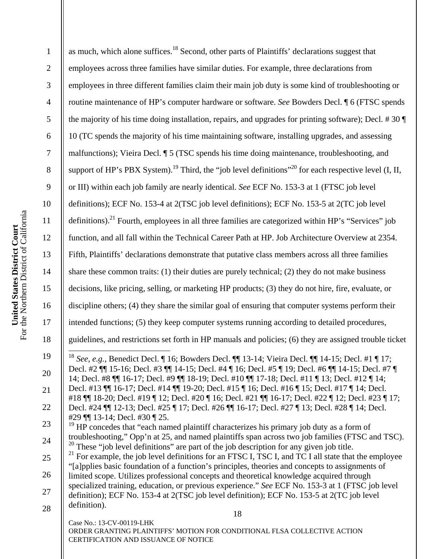| $\mathbf{1}$     | as much, which alone suffices. <sup>18</sup> Second, other parts of Plaintiffs' declarations suggest that                                                                                                                     |  |
|------------------|-------------------------------------------------------------------------------------------------------------------------------------------------------------------------------------------------------------------------------|--|
| $\overline{2}$   | employees across three families have similar duties. For example, three declarations from                                                                                                                                     |  |
| 3                | employees in three different families claim their main job duty is some kind of troubleshooting or                                                                                                                            |  |
| $\overline{4}$   | routine maintenance of HP's computer hardware or software. See Bowders Decl. ¶ 6 (FTSC spends                                                                                                                                 |  |
| $\mathfrak{S}$   | the majority of his time doing installation, repairs, and upgrades for printing software); Decl. #30 $\P$                                                                                                                     |  |
| $\boldsymbol{6}$ | 10 (TC spends the majority of his time maintaining software, installing upgrades, and assessing                                                                                                                               |  |
| $\overline{7}$   | malfunctions); Vieira Decl. ¶ 5 (TSC spends his time doing maintenance, troubleshooting, and                                                                                                                                  |  |
| $8\,$            | support of HP's PBX System). <sup>19</sup> Third, the "job level definitions" <sup>20</sup> for each respective level (I, II,                                                                                                 |  |
| $\overline{9}$   | or III) within each job family are nearly identical. See ECF No. 153-3 at 1 (FTSC job level                                                                                                                                   |  |
| 10               | definitions); ECF No. 153-4 at 2(TSC job level definitions); ECF No. 153-5 at 2(TC job level                                                                                                                                  |  |
| 11               | definitions). <sup>21</sup> Fourth, employees in all three families are categorized within HP's "Services" job                                                                                                                |  |
| 12               | function, and all fall within the Technical Career Path at HP. Job Architecture Overview at 2354.                                                                                                                             |  |
| 13               | Fifth, Plaintiffs' declarations demonstrate that putative class members across all three families                                                                                                                             |  |
| 14               | share these common traits: $(1)$ their duties are purely technical; $(2)$ they do not make business                                                                                                                           |  |
| 15               | decisions, like pricing, selling, or marketing HP products; (3) they do not hire, fire, evaluate, or                                                                                                                          |  |
| 16               | discipline others; (4) they share the similar goal of ensuring that computer systems perform their                                                                                                                            |  |
| 17               | intended functions; (5) they keep computer systems running according to detailed procedures,                                                                                                                                  |  |
| 18               | guidelines, and restrictions set forth in HP manuals and policies; (6) they are assigned trouble ticket                                                                                                                       |  |
| 19               | See, e.g., Benedict Decl. ¶ 16; Bowders Decl. ¶ 13-14; Vieira Decl. ¶ 14-15; Decl. #1 ¶ 17;                                                                                                                                   |  |
| 20               | Decl. #2 \[\] 15-16; Decl. #3 \[\] 14-15; Decl. #4 \[\] 16; Decl. #5 \[\] 19; Decl. #6 \[\] 14-15; Decl. #7 \[\]<br>14; Decl. #8 $\P$ 16-17; Decl. #9 $\P$ 18-19; Decl. #10 $\P$ 17-18; Decl. #11 $\P$ 13; Decl. #12 $\P$ 14; |  |
| 21               | Decl. #13    16-17; Decl. #14    19-20; Decl. #15   16; Decl. #16   15; Decl. #17   14; Decl.<br>#18    18-20; Decl. #19    12; Decl. #20    16; Decl. #21    16-17; Decl. #22    12; Decl. #23    17;                        |  |
| 22               | Decl. #24 \[\] 12-13; Decl. #25 \[\] 17; Decl. #26 \[\] 16-17; Decl. #27 \[\] 13; Decl. #28 \[\] 14; Decl.                                                                                                                    |  |
| 23               | #29    13-14; Decl. #30   25.<br>HP concedes that "each named plaintiff characterizes his primary job duty as a form of                                                                                                       |  |
| 24               | troubleshooting," Opp'n at 25, and named plaintiffs span across two job families (FTSC and TSC).<br>$20$ These "job level definitions" are part of the job description for any given job title.                               |  |
| 25               | $^{21}$ For example, the job level definitions for an FTSC I, TSC I, and TC I all state that the employee<br>"[a]pplies basic foundation of a function's principles, theories and concepts to assignments of                  |  |
| 26               | limited scope. Utilizes professional concepts and theoretical knowledge acquired through                                                                                                                                      |  |
| 27               | specialized training, education, or previous experience." See ECF No. 153-3 at 1 (FTSC job level<br>definition); ECF No. 153-4 at 2(TSC job level definition); ECF No. 153-5 at 2(TC job level                                |  |
| 28               | definition).<br>18                                                                                                                                                                                                            |  |
|                  | Case No.: 13-CV-00119-LHK<br>ORDER GRANTING PLAINTIFFS' MOTION FOR CONDITIONAL FLSA COLLECTIVE ACTION<br>CERTIFICATION AND ISSUANCE OF NOTICE                                                                                 |  |
|                  |                                                                                                                                                                                                                               |  |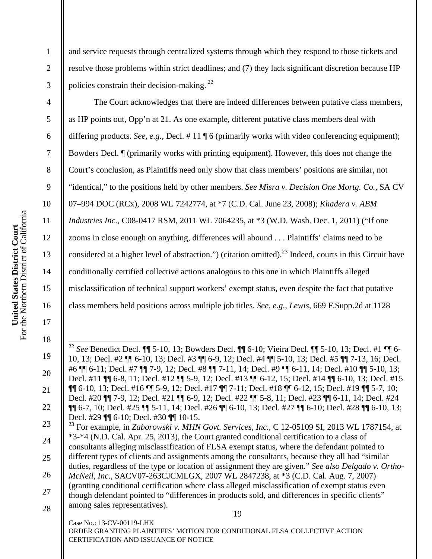2

3

4

5

6

7

8

9

10

11

12

13

14

15

16

17

18

 $\overline{a}$ 

19

20

21

22

and service requests through centralized systems through which they respond to those tickets and resolve those problems within strict deadlines; and (7) they lack significant discretion because HP policies constrain their decision-making. 22

 The Court acknowledges that there are indeed differences between putative class members, as HP points out, Opp'n at 21. As one example, different putative class members deal with differing products. *See, e.g.*, Decl. # 11 ¶ 6 (primarily works with video conferencing equipment); Bowders Decl. ¶ (primarily works with printing equipment). However, this does not change the Court's conclusion, as Plaintiffs need only show that class members' positions are similar, not "identical," to the positions held by other members. *See Misra v. Decision One Mortg. Co.*, SA CV 07–994 DOC (RCx), 2008 WL 7242774, at \*7 (C.D. Cal. June 23, 2008); *Khadera v. ABM Industries Inc.*, C08-0417 RSM, 2011 WL 7064235, at \*3 (W.D. Wash. Dec. 1, 2011) ("If one zooms in close enough on anything, differences will abound . . . Plaintiffs' claims need to be considered at a higher level of abstraction.") (citation omitted).<sup>23</sup> Indeed, courts in this Circuit have conditionally certified collective actions analogous to this one in which Plaintiffs alleged misclassification of technical support workers' exempt status, even despite the fact that putative class members held positions across multiple job titles. *See, e.g.*, *Lewis*, 669 F.Supp.2d at 1128

<sup>22</sup> *See* Benedict Decl. ¶¶ 5-10, 13; Bowders Decl. ¶¶ 6-10; Vieira Decl. ¶¶ 5-10, 13; Decl. #1 ¶¶ 6- 10, 13; Decl. #2 ¶¶ 6-10, 13; Decl. #3 ¶¶ 6-9, 12; Decl. #4 ¶¶ 5-10, 13; Decl. #5 ¶¶ 7-13, 16; Decl. #6 ¶¶ 6-11; Decl. #7 ¶¶ 7-9, 12; Decl. #8 ¶¶ 7-11, 14; Decl. #9 ¶¶ 6-11, 14; Decl. #10 ¶¶ 5-10, 13; Decl. #11 ¶¶ 6-8, 11; Decl. #12 ¶¶ 5-9, 12; Decl. #13 ¶¶ 6-12, 15; Decl. #14 ¶¶ 6-10, 13; Decl. #15 ¶¶ 6-10, 13; Decl. #16 ¶¶ 5-9, 12; Decl. #17 ¶¶ 7-11; Decl. #18 ¶¶ 6-12, 15; Decl. #19 ¶¶ 5-7, 10; Decl. #20 ¶¶ 7-9, 12; Decl. #21 ¶¶ 6-9, 12; Decl. #22 ¶¶ 5-8, 11; Decl. #23 ¶¶ 6-11, 14; Decl. #24 ¶¶ 6-7, 10; Decl. #25 ¶¶ 5-11, 14; Decl. #26 ¶¶ 6-10, 13; Decl. #27 ¶¶ 6-10; Decl. #28 ¶¶ 6-10, 13; Decl. #29 ¶¶ 6-10; Decl. #30 ¶¶ 10-15.

<sup>19</sup>  23 24 25 26 27 28 23 For example, in *Zaborowski v. MHN Govt. Services, Inc.*, C 12-05109 SI, 2013 WL 1787154, at \*3-\*4 (N.D. Cal. Apr. 25, 2013), the Court granted conditional certification to a class of consultants alleging misclassification of FLSA exempt status, where the defendant pointed to different types of clients and assignments among the consultants, because they all had "similar duties, regardless of the type or location of assignment they are given." *See also Delgado v. Ortho-McNeil, Inc.*, SACV07-263CJCMLGX, 2007 WL 2847238, at \*3 (C.D. Cal. Aug. 7, 2007) (granting conditional certification where class alleged misclassification of exempt status even though defendant pointed to "differences in products sold, and differences in specific clients" among sales representatives).

Case No.: 13-CV-00119-LHK ORDER GRANTING PLAINTIFFS' MOTION FOR CONDITIONAL FLSA COLLECTIVE ACTION CERTIFICATION AND ISSUANCE OF NOTICE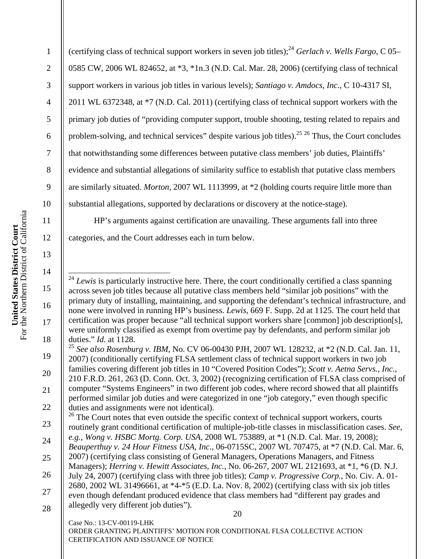2

3

4

5

6

7

8

9

10

11

12

13

14

15

16

17

18

19

20

21

22

(certifying class of technical support workers in seven job titles);24 *Gerlach v. Wells Fargo*, C 05– 0585 CW, 2006 WL 824652, at \*3, \*1n.3 (N.D. Cal. Mar. 28, 2006) (certifying class of technical support workers in various job titles in various levels); *Santiago v. Amdocs, Inc.*, C 10-4317 SI, 2011 WL 6372348, at \*7 (N.D. Cal. 2011) (certifying class of technical support workers with the primary job duties of "providing computer support, trouble shooting, testing related to repairs and problem-solving, and technical services" despite various job titles). <sup>25 26</sup> Thus, the Court concludes that notwithstanding some differences between putative class members' job duties, Plaintiffs' evidence and substantial allegations of similarity suffice to establish that putative class members are similarly situated. *Morton*, 2007 WL 1113999, at \*2 (holding courts require little more than substantial allegations, supported by declarations or discovery at the notice-stage).

 HP's arguments against certification are unavailing. These arguments fall into three categories, and the Court addresses each in turn below.

<sup>25</sup> *See also Rosenburg v. IBM*, No. CV 06-00430 PJH, 2007 WL 128232, at \*2 (N.D. Cal. Jan. 11, 2007) (conditionally certifying FLSA settlement class of technical support workers in two job families covering different job titles in 10 "Covered Position Codes"); *Scott v. Aetna Servs., Inc.*, 210 F.R.D. 261, 263 (D. Conn. Oct. 3, 2002) (recognizing certification of FLSA class comprised of computer "Systems Engineers" in two different job codes, where record showed that all plaintiffs performed similar job duties and were categorized in one "job category," even though specific duties and assignments were not identical).

20 23 24 25 26 27 28  $26$  The Court notes that even outside the specific context of technical support workers, courts routinely grant conditional certification of multiple-job-title classes in misclassification cases. *See, e.g.*, *Wong v. HSBC Mortg. Corp. USA*, 2008 WL 753889, at \*1 (N.D. Cal. Mar. 19, 2008); *Beauperthuy v. 24 Hour Fitness USA*, *Inc*., 06-0715SC, 2007 WL 707475, at \*7 (N.D. Cal. Mar. 6, 2007) (certifying class consisting of General Managers, Operations Managers, and Fitness Managers); *Herring v. Hewitt Associates, Inc.*, No. 06-267, 2007 WL 2121693, at \*1, \*6 (D. N.J. July 24, 2007) (certifying class with three job titles); *Camp v. Progressive Corp.*, No. Civ. A. 01- 2680, 2002 WL 31496661, at \*4-\*5 (E.D. La. Nov. 8, 2002) (certifying class with six job titles even though defendant produced evidence that class members had "different pay grades and allegedly very different job duties").

 $\overline{\phantom{a}}$ <sup>24</sup> *Lewis* is particularly instructive here. There, the court conditionally certified a class spanning across seven job titles because all putative class members held "similar job positions" with the primary duty of installing, maintaining, and supporting the defendant's technical infrastructure, and none were involved in running HP's business. *Lewis*, 669 F. Supp. 2d at 1125. The court held that certification was proper because "all technical support workers share [common] job description[s], were uniformly classified as exempt from overtime pay by defendants, and perform similar job duties." *Id.* at 1128.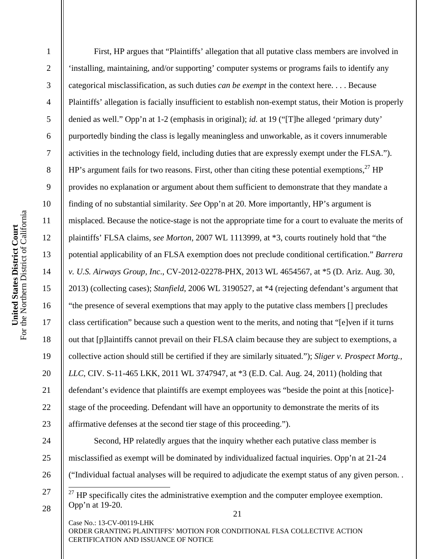21 Case No.: 13-CV-00119-LHK ORDER GRANTING PLAINTIFFS' MOTION FOR CONDITIONAL FLSA COLLECTIVE ACTION 1 2 3 4 5 6 7 8 9 10 11 12 13 14 15 16 17 18 19 20 21 22 23 24 25 26 27 28 First, HP argues that "Plaintiffs' allegation that all putative class members are involved in 'installing, maintaining, and/or supporting' computer systems or programs fails to identify any categorical misclassification, as such duties *can be exempt* in the context here. . . . Because Plaintiffs' allegation is facially insufficient to establish non-exempt status, their Motion is properly denied as well." Opp'n at 1-2 (emphasis in original); *id.* at 19 ("[T]he alleged 'primary duty' purportedly binding the class is legally meaningless and unworkable, as it covers innumerable activities in the technology field, including duties that are expressly exempt under the FLSA."). HP's argument fails for two reasons. First, other than citing these potential exemptions,  $27$  HP provides no explanation or argument about them sufficient to demonstrate that they mandate a finding of no substantial similarity. *See* Opp'n at 20. More importantly, HP's argument is misplaced. Because the notice-stage is not the appropriate time for a court to evaluate the merits of plaintiffs' FLSA claims, *see Morton*, 2007 WL 1113999, at \*3, courts routinely hold that "the potential applicability of an FLSA exemption does not preclude conditional certification." *Barrera v. U.S. Airways Group, Inc*., CV-2012-02278-PHX, 2013 WL 4654567, at \*5 (D. Ariz. Aug. 30, 2013) (collecting cases); *Stanfield*, 2006 WL 3190527, at \*4 (rejecting defendant's argument that "the presence of several exemptions that may apply to the putative class members [] precludes class certification" because such a question went to the merits, and noting that "[e]ven if it turns out that [p]laintiffs cannot prevail on their FLSA claim because they are subject to exemptions, a collective action should still be certified if they are similarly situated."); *Sliger v. Prospect Mortg., LLC*, CIV. S-11-465 LKK, 2011 WL 3747947, at \*3 (E.D. Cal. Aug. 24, 2011) (holding that defendant's evidence that plaintiffs are exempt employees was "beside the point at this [notice] stage of the proceeding. Defendant will have an opportunity to demonstrate the merits of its affirmative defenses at the second tier stage of this proceeding."). Second, HP relatedly argues that the inquiry whether each putative class member is misclassified as exempt will be dominated by individualized factual inquiries. Opp'n at 21-24 ("Individual factual analyses will be required to adjudicate the exempt status of any given person. .  $\overline{a}$  $^{27}$  HP specifically cites the administrative exemption and the computer employee exemption. Opp'n at 19-20.

CERTIFICATION AND ISSUANCE OF NOTICE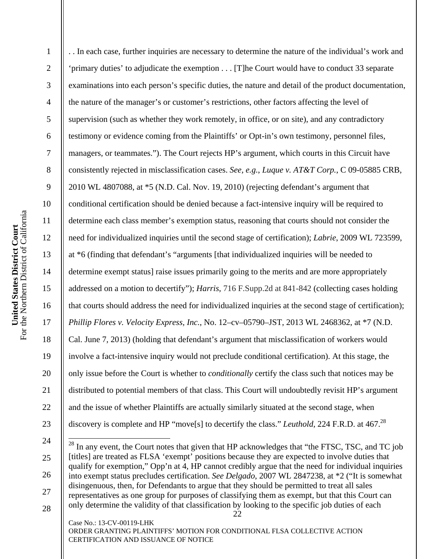2

3

4

5

6

7

8

9

10

11

12

13

14

15

16

17

18

19

20

21

22

23

 $\overline{a}$ 

. . In each case, further inquiries are necessary to determine the nature of the individual's work and 'primary duties' to adjudicate the exemption . . . [T]he Court would have to conduct 33 separate examinations into each person's specific duties, the nature and detail of the product documentation, the nature of the manager's or customer's restrictions, other factors affecting the level of supervision (such as whether they work remotely, in office, or on site), and any contradictory testimony or evidence coming from the Plaintiffs' or Opt-in's own testimony, personnel files, managers, or teammates."). The Court rejects HP's argument, which courts in this Circuit have consistently rejected in misclassification cases. *See, e.g.*, *Luque v. AT&T Corp.*, C 09-05885 CRB, 2010 WL 4807088, at \*5 (N.D. Cal. Nov. 19, 2010) (rejecting defendant's argument that conditional certification should be denied because a fact-intensive inquiry will be required to determine each class member's exemption status, reasoning that courts should not consider the need for individualized inquiries until the second stage of certification); *Labrie*, 2009 WL 723599, at \*6 (finding that defendant's "arguments [that individualized inquiries will be needed to determine exempt status] raise issues primarily going to the merits and are more appropriately addressed on a motion to decertify"); *Harris*, 716 F.Supp.2d at 841-842 (collecting cases holding that courts should address the need for individualized inquiries at the second stage of certification); *Phillip Flores v. Velocity Express, Inc.*, No. 12–cv–05790–JST, 2013 WL 2468362, at \*7 (N.D. Cal. June 7, 2013) (holding that defendant's argument that misclassification of workers would involve a fact-intensive inquiry would not preclude conditional certification). At this stage, the only issue before the Court is whether to *conditionally* certify the class such that notices may be distributed to potential members of that class. This Court will undoubtedly revisit HP's argument and the issue of whether Plaintiffs are actually similarly situated at the second stage, when discovery is complete and HP "move<sup>[s]</sup> to decertify the class." *Leuthold*, 224 F.R.D. at 467.<sup>28</sup>

<sup>22</sup>  24 25 26 27 28  $^{28}$  In any event, the Court notes that given that HP acknowledges that "the FTSC, TSC, and TC job [titles] are treated as FLSA 'exempt' positions because they are expected to involve duties that qualify for exemption," Opp'n at 4, HP cannot credibly argue that the need for individual inquiries into exempt status precludes certification. *See Delgado*, 2007 WL 2847238, at \*2 ("It is somewhat disingenuous, then, for Defendants to argue that they should be permitted to treat all sales representatives as one group for purposes of classifying them as exempt, but that this Court can only determine the validity of that classification by looking to the specific job duties of each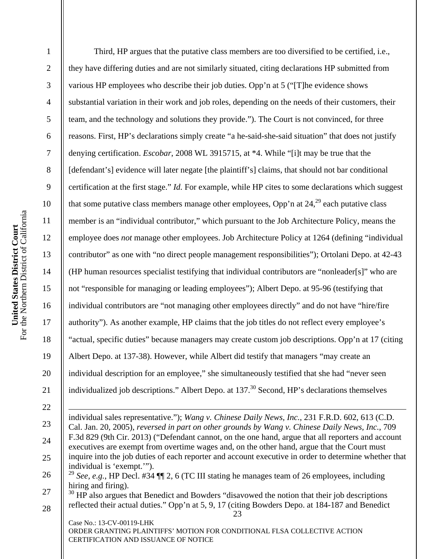4 5 6 7 8 9 10 For the Northern District of California United States District Court<br>For the Northern District of California 11 **United States District Court**  12 13 14 15 16 17 18 19

23 Case No.: 13-CV-00119-LHK ORDER GRANTING PLAINTIFFS' MOTION FOR CONDITIONAL FLSA COLLECTIVE ACTION CERTIFICATION AND ISSUANCE OF NOTICE 1 2 3 20 21 22 23 24 25 26 27 28 Third, HP argues that the putative class members are too diversified to be certified, i.e., they have differing duties and are not similarly situated, citing declarations HP submitted from various HP employees who describe their job duties. Opp'n at 5 ("[T]he evidence shows substantial variation in their work and job roles, depending on the needs of their customers, their team, and the technology and solutions they provide."). The Court is not convinced, for three reasons. First, HP's declarations simply create "a he-said-she-said situation" that does not justify denying certification. *Escobar*, 2008 WL 3915715, at \*4. While "[i]t may be true that the [defendant's] evidence will later negate [the plaintiff's] claims, that should not bar conditional certification at the first stage." *Id.* For example, while HP cites to some declarations which suggest that some putative class members manage other employees, Opp'n at  $24$ ,  $29$  each putative class member is an "individual contributor," which pursuant to the Job Architecture Policy, means the employee does *not* manage other employees. Job Architecture Policy at 1264 (defining "individual contributor" as one with "no direct people management responsibilities"); Ortolani Depo. at 42-43 (HP human resources specialist testifying that individual contributors are "nonleader[s]" who are not "responsible for managing or leading employees"); Albert Depo. at 95-96 (testifying that individual contributors are "not managing other employees directly" and do not have "hire/fire authority"). As another example, HP claims that the job titles do not reflect every employee's "actual, specific duties" because managers may create custom job descriptions. Opp'n at 17 (citing Albert Depo. at 137-38). However, while Albert did testify that managers "may create an individual description for an employee," she simultaneously testified that she had "never seen individualized job descriptions." Albert Depo. at  $137<sup>30</sup>$  Second, HP's declarations themselves  $\overline{\phantom{a}}$ individual sales representative."); *Wang v. Chinese Daily News, Inc.*, 231 F.R.D. 602, 613 (C.D. Cal. Jan. 20, 2005), *reversed in part on other grounds by Wang v. Chinese Daily News, Inc.*, 709 F.3d 829 (9th Cir. 2013) ("Defendant cannot, on the one hand, argue that all reporters and account executives are exempt from overtime wages and, on the other hand, argue that the Court must inquire into the job duties of each reporter and account executive in order to determine whether that individual is 'exempt.'"). <sup>29</sup> *See, e.g.*, HP Decl. #34 ¶¶ 2, 6 (TC III stating he manages team of 26 employees, including hiring and firing).  $30$  HP also argues that Benedict and Bowders "disavowed the notion that their job descriptions reflected their actual duties." Opp'n at 5, 9, 17 (citing Bowders Depo. at 184-187 and Benedict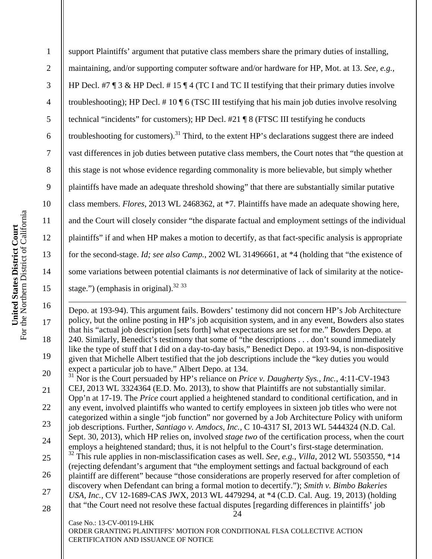2

3

4

5

6

7

8

9

10

11

12

13

14

15

16

 $\overline{a}$ 

17

18

19

support Plaintiffs' argument that putative class members share the primary duties of installing, maintaining, and/or supporting computer software and/or hardware for HP, Mot. at 13. *See, e.g.*, HP Decl. #7  $\degree$  3 & HP Decl. #15  $\degree$  4 (TC I and TC II testifying that their primary duties involve troubleshooting); HP Decl. # 10 ¶ 6 (TSC III testifying that his main job duties involve resolving technical "incidents" for customers); HP Decl. #21 ¶ 8 (FTSC III testifying he conducts troubleshooting for customers).<sup>31</sup> Third, to the extent HP's declarations suggest there are indeed vast differences in job duties between putative class members, the Court notes that "the question at this stage is not whose evidence regarding commonality is more believable, but simply whether plaintiffs have made an adequate threshold showing" that there are substantially similar putative class members. *Flores*, 2013 WL 2468362, at \*7. Plaintiffs have made an adequate showing here, and the Court will closely consider "the disparate factual and employment settings of the individual plaintiffs" if and when HP makes a motion to decertify, as that fact-specific analysis is appropriate for the second-stage. *Id; see also Camp.*, 2002 WL 31496661, at \*4 (holding that "the existence of some variations between potential claimants is *not* determinative of lack of similarity at the noticestage.") (emphasis in original). $32 \frac{33}{2}$ 

Depo. at 193-94). This argument fails. Bowders' testimony did not concern HP's Job Architecture policy, but the online posting in HP's job acquisition system, and in any event, Bowders also states that his "actual job description [sets forth] what expectations are set for me." Bowders Depo. at 240. Similarly, Benedict's testimony that some of "the descriptions . . . don't sound immediately like the type of stuff that I did on a day-to-day basis," Benedict Depo. at 193-94, is non-dispositive given that Michelle Albert testified that the job descriptions include the "key duties you would expect a particular job to have." Albert Depo. at 134.

24 20 21 22 23 24 25 26 27 28 31 Nor is the Court persuaded by HP's reliance on *Price v. Daugherty Sys., Inc.*, 4:11-CV-1943 CEJ, 2013 WL 3324364 (E.D. Mo. 2013), to show that Plaintiffs are not substantially similar. Opp'n at 17-19. The *Price* court applied a heightened standard to conditional certification, and in any event, involved plaintiffs who wanted to certify employees in sixteen job titles who were not categorized within a single "job function" nor governed by a Job Architecture Policy with uniform job descriptions. Further, *Santiago v. Amdocs, Inc.*, C 10-4317 SI, 2013 WL 5444324 (N.D. Cal. Sept. 30, 2013), which HP relies on, involved *stage two* of the certification process, when the court employs a heightened standard; thus, it is not helpful to the Court's first-stage determination. 32 This rule applies in non-misclassification cases as well. *See, e.g.*, *Villa*, 2012 WL 5503550, \*14 (rejecting defendant's argument that "the employment settings and factual background of each plaintiff are different" because "those considerations are properly reserved for after completion of discovery when Defendant can bring a formal motion to decertify."); *Smith v. Bimbo Bakeries USA, Inc.*, CV 12-1689-CAS JWX, 2013 WL 4479294, at \*4 (C.D. Cal. Aug. 19, 2013) (holding that "the Court need not resolve these factual disputes [regarding differences in plaintiffs' job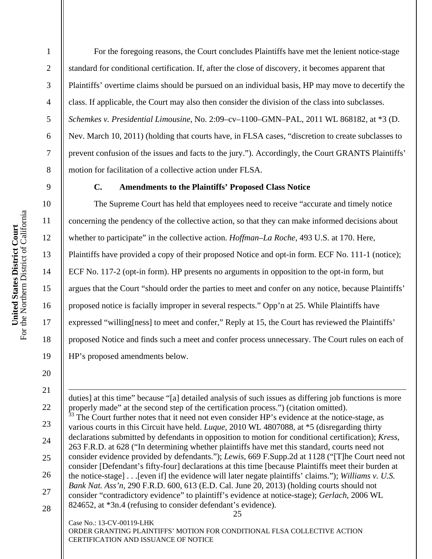2

3

4

5

6

7

8

9

10

11

12

13

14

15

16

17

18

19

20

21

 $\overline{a}$ 

22

23

24

25

26

27

28

 For the foregoing reasons, the Court concludes Plaintiffs have met the lenient notice-stage standard for conditional certification. If, after the close of discovery, it becomes apparent that Plaintiffs' overtime claims should be pursued on an individual basis, HP may move to decertify the class. If applicable, the Court may also then consider the division of the class into subclasses. *Schemkes v. Presidential Limousine*, No. 2:09–cv–1100–GMN–PAL, 2011 WL 868182, at \*3 (D. Nev. March 10, 2011) (holding that courts have, in FLSA cases, "discretion to create subclasses to prevent confusion of the issues and facts to the jury."). Accordingly, the Court GRANTS Plaintiffs' motion for facilitation of a collective action under FLSA.

# **C. Amendments to the Plaintiffs' Proposed Class Notice**

The Supreme Court has held that employees need to receive "accurate and timely notice concerning the pendency of the collective action, so that they can make informed decisions about whether to participate" in the collective action. *Hoffman–La Roche*, 493 U.S. at 170. Here, Plaintiffs have provided a copy of their proposed Notice and opt-in form. ECF No. 111-1 (notice); ECF No. 117-2 (opt-in form). HP presents no arguments in opposition to the opt-in form, but argues that the Court "should order the parties to meet and confer on any notice, because Plaintiffs' proposed notice is facially improper in several respects." Opp'n at 25. While Plaintiffs have expressed "willing[ness] to meet and confer," Reply at 15, the Court has reviewed the Plaintiffs' proposed Notice and finds such a meet and confer process unnecessary. The Court rules on each of HP's proposed amendments below.

25 Case No.: 13-CV-00119-LHK duties] at this time" because "[a] detailed analysis of such issues as differing job functions is more properly made" at the second step of the certification process.") (citation omitted). The Court further notes that it need not even consider HP's evidence at the notice-stage, as various courts in this Circuit have held. *Luque*, 2010 WL 4807088, at \*5 (disregarding thirty declarations submitted by defendants in opposition to motion for conditional certification); *Kress*, 263 F.R.D. at 628 ("In determining whether plaintiffs have met this standard, courts need not consider evidence provided by defendants."); *Lewis*, 669 F.Supp.2d at 1128 ("[T]he Court need not consider [Defendant's fifty-four] declarations at this time [because Plaintiffs meet their burden at the notice-stage] . . .[even if] the evidence will later negate plaintiffs' claims."); *Williams v. U.S. Bank Nat. Ass'n*, 290 F.R.D. 600, 613 (E.D. Cal. June 20, 2013) (holding courts should not consider "contradictory evidence" to plaintiff's evidence at notice-stage); *Gerlach*, 2006 WL 824652, at \*3n.4 (refusing to consider defendant's evidence).

ORDER GRANTING PLAINTIFFS' MOTION FOR CONDITIONAL FLSA COLLECTIVE ACTION CERTIFICATION AND ISSUANCE OF NOTICE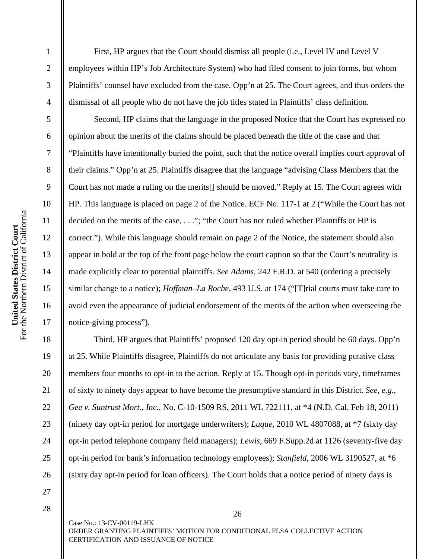For the Northern District of California United States District Court<br>For the Northern District of California **United States District Court** 

1

2

3

4

5

6

7

8

9

10

11

12

13

14

15

16

17

18

19

20

21

22

23

24

25

26

 First, HP argues that the Court should dismiss all people (i.e., Level IV and Level V employees within HP's Job Architecture System) who had filed consent to join forms, but whom Plaintiffs' counsel have excluded from the case. Opp'n at 25. The Court agrees, and thus orders the dismissal of all people who do not have the job titles stated in Plaintiffs' class definition.

 Second, HP claims that the language in the proposed Notice that the Court has expressed no opinion about the merits of the claims should be placed beneath the title of the case and that "Plaintiffs have intentionally buried the point, such that the notice overall implies court approval of their claims." Opp'n at 25. Plaintiffs disagree that the language "advising Class Members that the Court has not made a ruling on the merits[] should be moved." Reply at 15. The Court agrees with HP. This language is placed on page 2 of the Notice. ECF No. 117-1 at 2 ("While the Court has not decided on the merits of the case, . . ."; "the Court has not ruled whether Plaintiffs or HP is correct."). While this language should remain on page 2 of the Notice, the statement should also appear in bold at the top of the front page below the court caption so that the Court's neutrality is made explicitly clear to potential plaintiffs. *See Adams*, 242 F.R.D. at 540 (ordering a precisely similar change to a notice); *Hoffman–La Roche*, 493 U.S. at 174 ("[T]rial courts must take care to avoid even the appearance of judicial endorsement of the merits of the action when overseeing the notice-giving process").

 Third, HP argues that Plaintiffs' proposed 120 day opt-in period should be 60 days. Opp'n at 25. While Plaintiffs disagree, Plaintiffs do not articulate any basis for providing putative class members four months to opt-in to the action. Reply at 15. Though opt-in periods vary, timeframes of sixty to ninety days appear to have become the presumptive standard in this District. *See, e.g.*, *Gee v. Suntrust Mort., Inc.*, No. C-10-1509 RS, 2011 WL 722111, at \*4 (N.D. Cal. Feb 18, 2011) (ninety day opt-in period for mortgage underwriters); *Luque*, 2010 WL 4807088, at \*7 (sixty day opt-in period telephone company field managers); *Lewis*, 669 F.Supp.2d at 1126 (seventy-five day opt-in period for bank's information technology employees); *Stanfield*, 2006 WL 3190527, at \*6 (sixty day opt-in period for loan officers). The Court holds that a notice period of ninety days is

27 28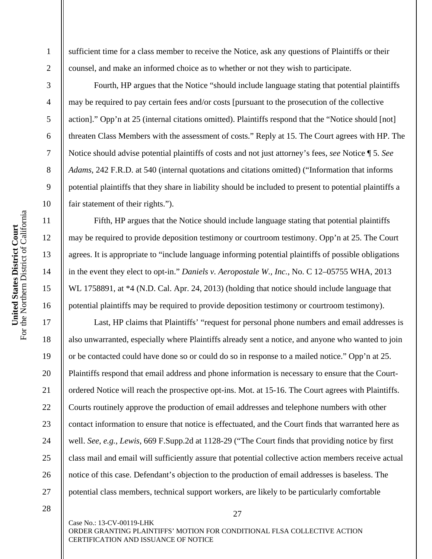For the Northern District of California United States District Court<br>For the Northern District of California **United States District Court** 

1

2

3

4

5

6

7

8

9

10

11

12

13

14

15

16

17

18

19

20

21

22

23

24

25

26

27

sufficient time for a class member to receive the Notice, ask any questions of Plaintiffs or their counsel, and make an informed choice as to whether or not they wish to participate.

 Fourth, HP argues that the Notice "should include language stating that potential plaintiffs may be required to pay certain fees and/or costs [pursuant to the prosecution of the collective action]." Opp'n at 25 (internal citations omitted). Plaintiffs respond that the "Notice should [not] threaten Class Members with the assessment of costs." Reply at 15. The Court agrees with HP. The Notice should advise potential plaintiffs of costs and not just attorney's fees, *see* Notice ¶ 5. *See Adams*, 242 F.R.D. at 540 (internal quotations and citations omitted) ("Information that informs potential plaintiffs that they share in liability should be included to present to potential plaintiffs a fair statement of their rights.").

 Fifth, HP argues that the Notice should include language stating that potential plaintiffs may be required to provide deposition testimony or courtroom testimony. Opp'n at 25. The Court agrees. It is appropriate to "include language informing potential plaintiffs of possible obligations in the event they elect to opt-in." *Daniels v. Aeropostale W., Inc.*, No. C 12–05755 WHA, 2013 WL 1758891, at  $*4$  (N.D. Cal. Apr. 24, 2013) (holding that notice should include language that potential plaintiffs may be required to provide deposition testimony or courtroom testimony).

 Last, HP claims that Plaintiffs' "request for personal phone numbers and email addresses is also unwarranted, especially where Plaintiffs already sent a notice, and anyone who wanted to join or be contacted could have done so or could do so in response to a mailed notice." Opp'n at 25. Plaintiffs respond that email address and phone information is necessary to ensure that the Courtordered Notice will reach the prospective opt-ins. Mot. at 15-16. The Court agrees with Plaintiffs. Courts routinely approve the production of email addresses and telephone numbers with other contact information to ensure that notice is effectuated, and the Court finds that warranted here as well. *See, e.g.*, *Lewis*, 669 F.Supp.2d at 1128-29 ("The Court finds that providing notice by first class mail and email will sufficiently assure that potential collective action members receive actual notice of this case. Defendant's objection to the production of email addresses is baseless. The potential class members, technical support workers, are likely to be particularly comfortable

28

Case No.: 13-CV-00119-LHK ORDER GRANTING PLAINTIFFS' MOTION FOR CONDITIONAL FLSA COLLECTIVE ACTION CERTIFICATION AND ISSUANCE OF NOTICE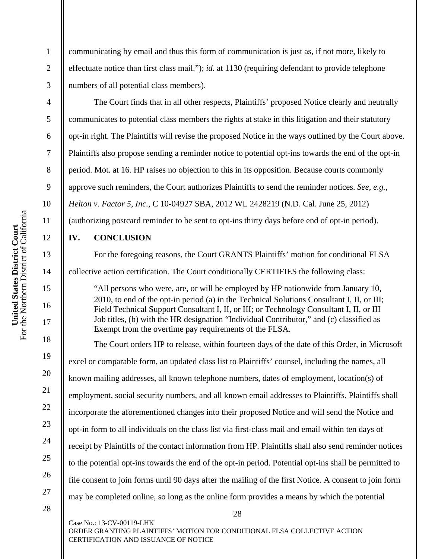communicating by email and thus this form of communication is just as, if not more, likely to effectuate notice than first class mail."); *id.* at 1130 (requiring defendant to provide telephone numbers of all potential class members).

The Court finds that in all other respects, Plaintiffs' proposed Notice clearly and neutrally communicates to potential class members the rights at stake in this litigation and their statutory opt-in right. The Plaintiffs will revise the proposed Notice in the ways outlined by the Court above. Plaintiffs also propose sending a reminder notice to potential opt-ins towards the end of the opt-in period. Mot. at 16. HP raises no objection to this in its opposition. Because courts commonly approve such reminders, the Court authorizes Plaintiffs to send the reminder notices. *See, e.g.*, *Helton v. Factor 5, Inc.*, C 10-04927 SBA, 2012 WL 2428219 (N.D. Cal. June 25, 2012) (authorizing postcard reminder to be sent to opt-ins thirty days before end of opt-in period).

# **IV. CONCLUSION**

For the foregoing reasons, the Court GRANTS Plaintiffs' motion for conditional FLSA collective action certification. The Court conditionally CERTIFIES the following class:

"All persons who were, are, or will be employed by HP nationwide from January 10, 2010, to end of the opt-in period (a) in the Technical Solutions Consultant I, II, or III; Field Technical Support Consultant I, II, or III; or Technology Consultant I, II, or III Job titles, (b) with the HR designation "Individual Contributor," and (c) classified as Exempt from the overtime pay requirements of the FLSA.

The Court orders HP to release, within fourteen days of the date of this Order, in Microsoft excel or comparable form, an updated class list to Plaintiffs' counsel, including the names, all known mailing addresses, all known telephone numbers, dates of employment, location(s) of employment, social security numbers, and all known email addresses to Plaintiffs. Plaintiffs shall incorporate the aforementioned changes into their proposed Notice and will send the Notice and opt-in form to all individuals on the class list via first-class mail and email within ten days of receipt by Plaintiffs of the contact information from HP. Plaintiffs shall also send reminder notices to the potential opt-ins towards the end of the opt-in period. Potential opt-ins shall be permitted to file consent to join forms until 90 days after the mailing of the first Notice. A consent to join form may be completed online, so long as the online form provides a means by which the potential

28

28

Case No.: 13-CV-00119-LHK ORDER GRANTING PLAINTIFFS' MOTION FOR CONDITIONAL FLSA COLLECTIVE ACTION CERTIFICATION AND ISSUANCE OF NOTICE

1

2

3

4

5

6

7

8

9

10

11

12

13

14

15

16

17

18

19

20

21

22

23

24

25

26